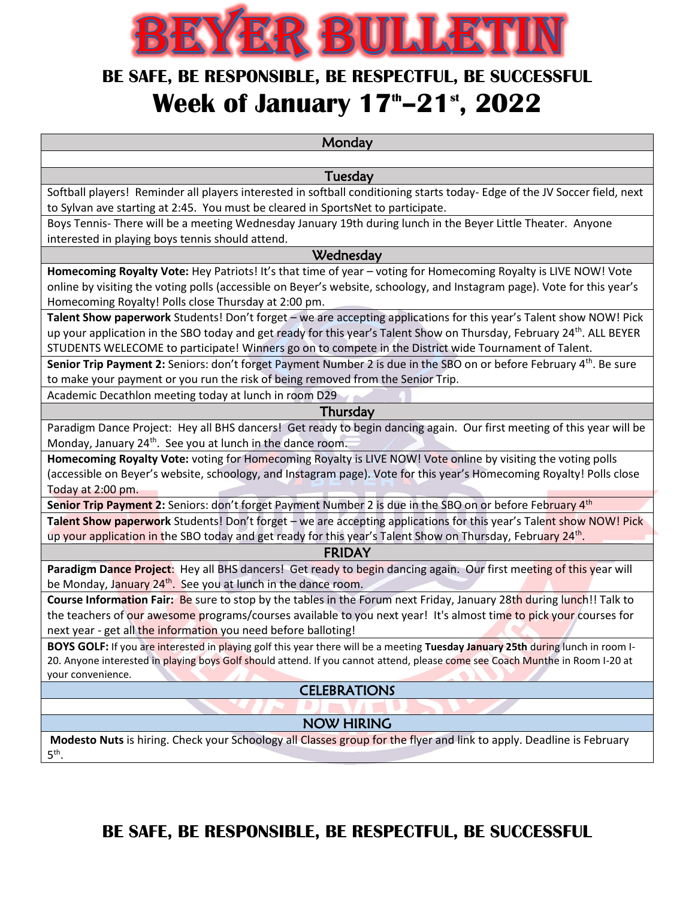

## **BE SAFE, BE RESPONSIBLE, BE RESPECTFUL, BE SUCCESSFUL Week of January 17 th–21st, 2022**

**Monday** 

Tuesday

Softball players! Reminder all players interested in softball conditioning starts today- Edge of the JV Soccer field, next to Sylvan ave starting at 2:45. You must be cleared in SportsNet to participate.

Boys Tennis- There will be a meeting Wednesday January 19th during lunch in the Beyer Little Theater. Anyone interested in playing boys tennis should attend.

#### **Wednesday**

**Homecoming Royalty Vote:** Hey Patriots! It's that time of year – voting for Homecoming Royalty is LIVE NOW! Vote online by visiting the voting polls (accessible on Beyer's website, schoology, and Instagram page). Vote for this year's Homecoming Royalty! Polls close Thursday at 2:00 pm.

**Talent Show paperwork** Students! Don't forget – we are accepting applications for this year's Talent show NOW! Pick up your application in the SBO today and get ready for this year's Talent Show on Thursday, February 24<sup>th</sup>. ALL BEYER STUDENTS WELECOME to participate! Winners go on to compete in the District wide Tournament of Talent.

Senior Trip Payment 2: Seniors: don't forget Payment Number 2 is due in the SBO on or before February 4<sup>th</sup>. Be sure to make your payment or you run the risk of being removed from the Senior Trip.

Academic Decathlon meeting today at lunch in room D29

#### Thursday

Paradigm Dance Project: Hey all BHS dancers! Get ready to begin dancing again. Our first meeting of this year will be Monday, January 24<sup>th</sup>. See you at lunch in the dance room.

**Homecoming Royalty Vote:** voting for Homecoming Royalty is LIVE NOW! Vote online by visiting the voting polls (accessible on Beyer's website, schoology, and Instagram page). Vote for this year's Homecoming Royalty! Polls close Today at 2:00 pm.

Senior Trip Payment 2: Seniors: don't forget Payment Number 2 is due in the SBO on or before February 4<sup>th</sup>

**Talent Show paperwork** Students! Don't forget – we are accepting applications for this year's Talent show NOW! Pick up your application in the SBO today and get ready for this year's Talent Show on Thursday, February 24<sup>th</sup>.

#### FRIDAY

**Paradigm Dance Project**: Hey all BHS dancers! Get ready to begin dancing again. Our first meeting of this year will be Monday, January 24<sup>th</sup>. See you at lunch in the dance room.

**Course Information Fair:** Be sure to stop by the tables in the Forum next Friday, January 28th during lunch!! Talk to the teachers of our awesome programs/courses available to you next year! It's almost time to pick your courses for next year - get all the information you need before balloting!

**BOYS GOLF:** If you are interested in playing golf this year there will be a meeting **Tuesday January 25th** during lunch in room I-20. Anyone interested in playing boys Golf should attend. If you cannot attend, please come see Coach Munthe in Room I-20 at your convenience.

CELEBRATIONS

### NOW HIRING

**Modesto Nuts** is hiring. Check your Schoology all Classes group for the flyer and link to apply. Deadline is February 5 th .

### **BE SAFE, BE RESPONSIBLE, BE RESPECTFUL, BE SUCCESSFUL**